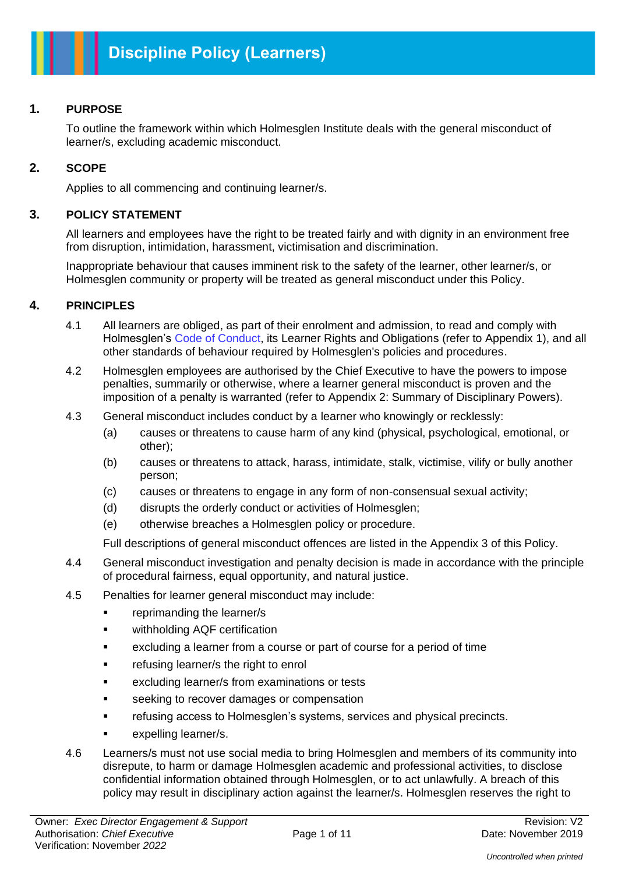#### **1. PURPOSE**

To outline the framework within which Holmesglen Institute deals with the general misconduct of learner/s, excluding academic misconduct.

#### **2. SCOPE**

Applies to all commencing and continuing learner/s.

#### **3. POLICY STATEMENT**

All learners and employees have the right to be treated fairly and with dignity in an environment free from disruption, intimidation, harassment, victimisation and discrimination.

Inappropriate behaviour that causes imminent risk to the safety of the learner, other learner/s, or Holmesglen community or property will be treated as general misconduct under this Policy.

#### **4. PRINCIPLES**

- 4.1 All learners are obliged, as part of their enrolment and admission, to read and comply with Holmesglen's Code of Conduct, its Learner Rights and Obligations (refer to Appendix 1), and all other standards of behaviour required by Holmesglen's policies and procedures.
- 4.2 Holmesglen employees are authorised by the Chief Executive to have the powers to impose penalties, summarily or otherwise, where a learner general misconduct is proven and the imposition of a penalty is warranted (refer to Appendix 2: Summary of Disciplinary Powers).
- 4.3 General misconduct includes conduct by a learner who knowingly or recklessly:
	- (a) causes or threatens to cause harm of any kind (physical, psychological, emotional, or other);
	- (b) causes or threatens to attack, harass, intimidate, stalk, victimise, vilify or bully another person;
	- (c) causes or threatens to engage in any form of non-consensual sexual activity;
	- (d) disrupts the orderly conduct or activities of Holmesglen;
	- (e) otherwise breaches a Holmesglen policy or procedure.

Full descriptions of general misconduct offences are listed in the Appendix 3 of this Policy.

- 4.4 General misconduct investigation and penalty decision is made in accordance with the principle of procedural fairness, equal opportunity, and natural justice.
- 4.5 Penalties for learner general misconduct may include:
	- reprimanding the learner/s
	- withholding AQF certification
	- excluding a learner from a course or part of course for a period of time
	- refusing learner/s the right to enrol
	- excluding learner/s from examinations or tests
	- seeking to recover damages or compensation
	- refusing access to Holmesglen's systems, services and physical precincts.
	- expelling learner/s.
- 4.6 Learners/s must not use social media to bring Holmesglen and members of its community into disrepute, to harm or damage Holmesglen academic and professional activities, to disclose confidential information obtained through Holmesglen, or to act unlawfully. A breach of this policy may result in disciplinary action against the learner/s. Holmesglen reserves the right to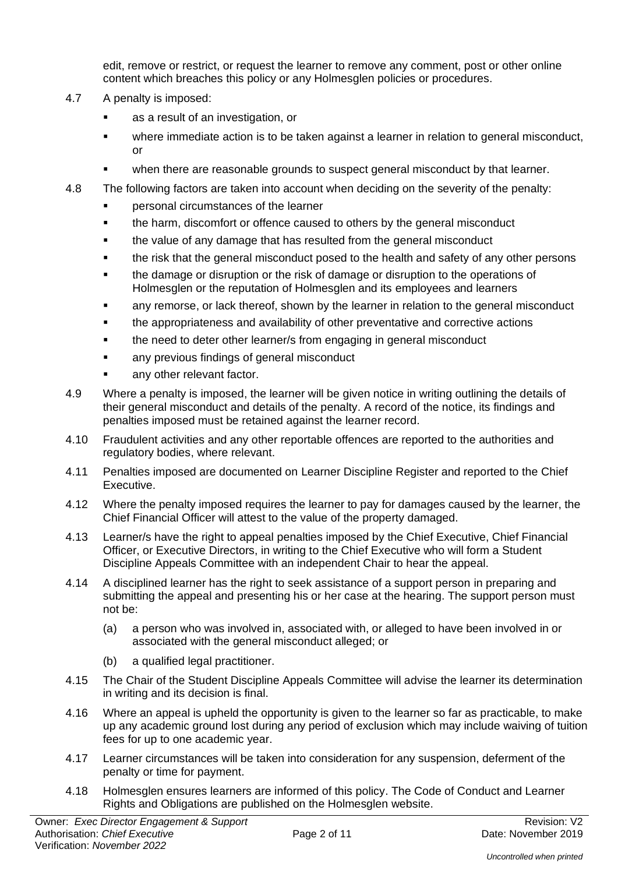edit, remove or restrict, or request the learner to remove any comment, post or other online content which breaches this policy or any Holmesglen policies or procedures.

- 4.7 A penalty is imposed:
	- as a result of an investigation, or
	- where immediate action is to be taken against a learner in relation to general misconduct, or
	- when there are reasonable grounds to suspect general misconduct by that learner.
- 4.8 The following factors are taken into account when deciding on the severity of the penalty:
	- personal circumstances of the learner
	- the harm, discomfort or offence caused to others by the general misconduct
	- the value of any damage that has resulted from the general misconduct
	- the risk that the general misconduct posed to the health and safety of any other persons
	- the damage or disruption or the risk of damage or disruption to the operations of Holmesglen or the reputation of Holmesglen and its employees and learners
	- any remorse, or lack thereof, shown by the learner in relation to the general misconduct
	- the appropriateness and availability of other preventative and corrective actions
	- the need to deter other learner/s from engaging in general misconduct
	- any previous findings of general misconduct
	- any other relevant factor.
- 4.9 Where a penalty is imposed, the learner will be given notice in writing outlining the details of their general misconduct and details of the penalty. A record of the notice, its findings and penalties imposed must be retained against the learner record.
- 4.10 Fraudulent activities and any other reportable offences are reported to the authorities and regulatory bodies, where relevant.
- 4.11 Penalties imposed are documented on Learner Discipline Register and reported to the Chief Executive.
- 4.12 Where the penalty imposed requires the learner to pay for damages caused by the learner, the Chief Financial Officer will attest to the value of the property damaged.
- 4.13 Learner/s have the right to appeal penalties imposed by the Chief Executive, Chief Financial Officer, or Executive Directors, in writing to the Chief Executive who will form a Student Discipline Appeals Committee with an independent Chair to hear the appeal.
- 4.14 A disciplined learner has the right to seek assistance of a support person in preparing and submitting the appeal and presenting his or her case at the hearing. The support person must not be:
	- (a) a person who was involved in, associated with, or alleged to have been involved in or associated with the general misconduct alleged; or
	- (b) a qualified legal practitioner.
- 4.15 The Chair of the Student Discipline Appeals Committee will advise the learner its determination in writing and its decision is final.
- 4.16 Where an appeal is upheld the opportunity is given to the learner so far as practicable, to make up any academic ground lost during any period of exclusion which may include waiving of tuition fees for up to one academic year.
- 4.17 Learner circumstances will be taken into consideration for any suspension, deferment of the penalty or time for payment.
- 4.18 Holmesglen ensures learners are informed of this policy. The Code of Conduct and Learner Rights and Obligations are published on the Holmesglen website.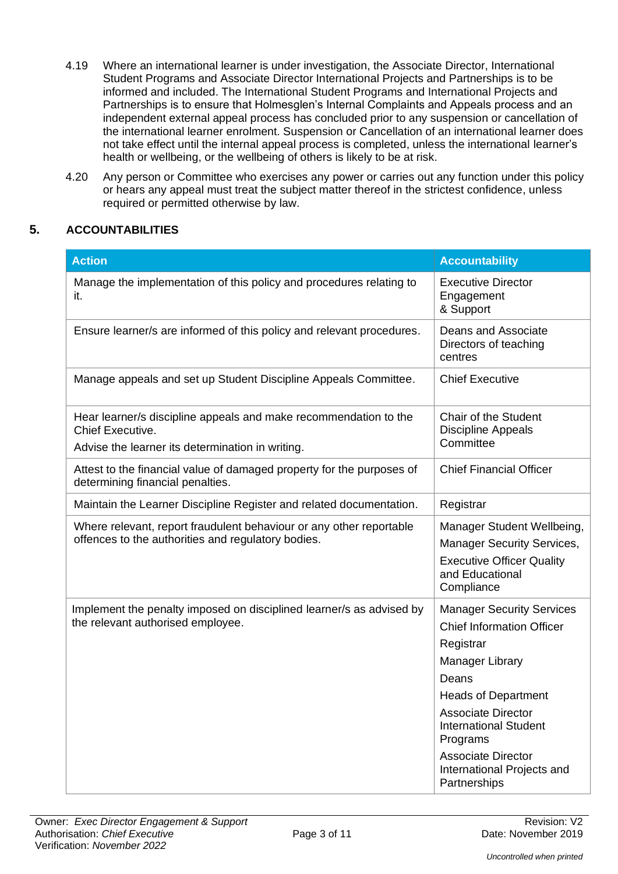- 4.19 Where an international learner is under investigation, the Associate Director, International Student Programs and Associate Director International Projects and Partnerships is to be informed and included. The International Student Programs and International Projects and Partnerships is to ensure that Holmesglen's Internal Complaints and Appeals process and an independent external appeal process has concluded prior to any suspension or cancellation of the international learner enrolment. Suspension or Cancellation of an international learner does not take effect until the internal appeal process is completed, unless the international learner's health or wellbeing, or the wellbeing of others is likely to be at risk.
- 4.20 Any person or Committee who exercises any power or carries out any function under this policy or hears any appeal must treat the subject matter thereof in the strictest confidence, unless required or permitted otherwise by law.

#### **5. ACCOUNTABILITIES**

| <b>Action</b>                                                                                                                            | <b>Accountability</b>                                                                                                                                                                                                                                                                           |
|------------------------------------------------------------------------------------------------------------------------------------------|-------------------------------------------------------------------------------------------------------------------------------------------------------------------------------------------------------------------------------------------------------------------------------------------------|
| Manage the implementation of this policy and procedures relating to<br>it.                                                               | <b>Executive Director</b><br>Engagement<br>& Support                                                                                                                                                                                                                                            |
| Ensure learner/s are informed of this policy and relevant procedures.                                                                    | <b>Deans and Associate</b><br>Directors of teaching<br>centres                                                                                                                                                                                                                                  |
| Manage appeals and set up Student Discipline Appeals Committee.                                                                          | <b>Chief Executive</b>                                                                                                                                                                                                                                                                          |
| Hear learner/s discipline appeals and make recommendation to the<br>Chief Executive.<br>Advise the learner its determination in writing. | Chair of the Student<br><b>Discipline Appeals</b><br>Committee                                                                                                                                                                                                                                  |
| Attest to the financial value of damaged property for the purposes of<br>determining financial penalties.                                | <b>Chief Financial Officer</b>                                                                                                                                                                                                                                                                  |
| Maintain the Learner Discipline Register and related documentation.                                                                      | Registrar                                                                                                                                                                                                                                                                                       |
| Where relevant, report fraudulent behaviour or any other reportable<br>offences to the authorities and regulatory bodies.                | Manager Student Wellbeing,<br><b>Manager Security Services,</b><br><b>Executive Officer Quality</b><br>and Educational<br>Compliance                                                                                                                                                            |
| Implement the penalty imposed on disciplined learner/s as advised by<br>the relevant authorised employee.                                | <b>Manager Security Services</b><br><b>Chief Information Officer</b><br>Registrar<br>Manager Library<br>Deans<br><b>Heads of Department</b><br><b>Associate Director</b><br><b>International Student</b><br>Programs<br><b>Associate Director</b><br>International Projects and<br>Partnerships |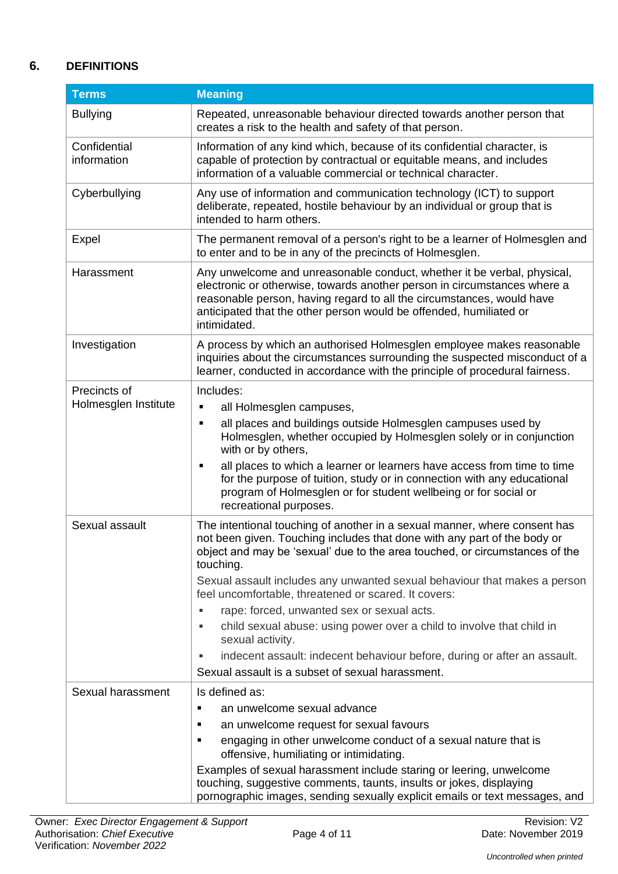## **6. DEFINITIONS**

| <b>Terms</b>                         | <b>Meaning</b>                                                                                                                                                                                                                                                                                                                                                                                                                                                                                                                                                                                                                                                         |
|--------------------------------------|------------------------------------------------------------------------------------------------------------------------------------------------------------------------------------------------------------------------------------------------------------------------------------------------------------------------------------------------------------------------------------------------------------------------------------------------------------------------------------------------------------------------------------------------------------------------------------------------------------------------------------------------------------------------|
| <b>Bullying</b>                      | Repeated, unreasonable behaviour directed towards another person that<br>creates a risk to the health and safety of that person.                                                                                                                                                                                                                                                                                                                                                                                                                                                                                                                                       |
| Confidential<br>information          | Information of any kind which, because of its confidential character, is<br>capable of protection by contractual or equitable means, and includes<br>information of a valuable commercial or technical character.                                                                                                                                                                                                                                                                                                                                                                                                                                                      |
| Cyberbullying                        | Any use of information and communication technology (ICT) to support<br>deliberate, repeated, hostile behaviour by an individual or group that is<br>intended to harm others.                                                                                                                                                                                                                                                                                                                                                                                                                                                                                          |
| Expel                                | The permanent removal of a person's right to be a learner of Holmesglen and<br>to enter and to be in any of the precincts of Holmesglen.                                                                                                                                                                                                                                                                                                                                                                                                                                                                                                                               |
| Harassment                           | Any unwelcome and unreasonable conduct, whether it be verbal, physical,<br>electronic or otherwise, towards another person in circumstances where a<br>reasonable person, having regard to all the circumstances, would have<br>anticipated that the other person would be offended, humiliated or<br>intimidated.                                                                                                                                                                                                                                                                                                                                                     |
| Investigation                        | A process by which an authorised Holmesglen employee makes reasonable<br>inquiries about the circumstances surrounding the suspected misconduct of a<br>learner, conducted in accordance with the principle of procedural fairness.                                                                                                                                                                                                                                                                                                                                                                                                                                    |
| Precincts of<br>Holmesglen Institute | Includes:<br>all Holmesglen campuses,<br>٠<br>all places and buildings outside Holmesglen campuses used by<br>٠<br>Holmesglen, whether occupied by Holmesglen solely or in conjunction<br>with or by others,<br>all places to which a learner or learners have access from time to time<br>٠<br>for the purpose of tuition, study or in connection with any educational<br>program of Holmesglen or for student wellbeing or for social or<br>recreational purposes.                                                                                                                                                                                                   |
| Sexual assault                       | The intentional touching of another in a sexual manner, where consent has<br>not been given. Touching includes that done with any part of the body or<br>object and may be 'sexual' due to the area touched, or circumstances of the<br>touching.<br>Sexual assault includes any unwanted sexual behaviour that makes a person<br>feel uncomfortable, threatened or scared. It covers:<br>rape: forced, unwanted sex or sexual acts.<br>child sexual abuse: using power over a child to involve that child in<br>sexual activity.<br>indecent assault: indecent behaviour before, during or after an assault.<br>٠<br>Sexual assault is a subset of sexual harassment. |
| Sexual harassment                    | Is defined as:<br>an unwelcome sexual advance<br>$\blacksquare$<br>an unwelcome request for sexual favours<br>٠<br>engaging in other unwelcome conduct of a sexual nature that is<br>offensive, humiliating or intimidating.<br>Examples of sexual harassment include staring or leering, unwelcome<br>touching, suggestive comments, taunts, insults or jokes, displaying<br>pornographic images, sending sexually explicit emails or text messages, and                                                                                                                                                                                                              |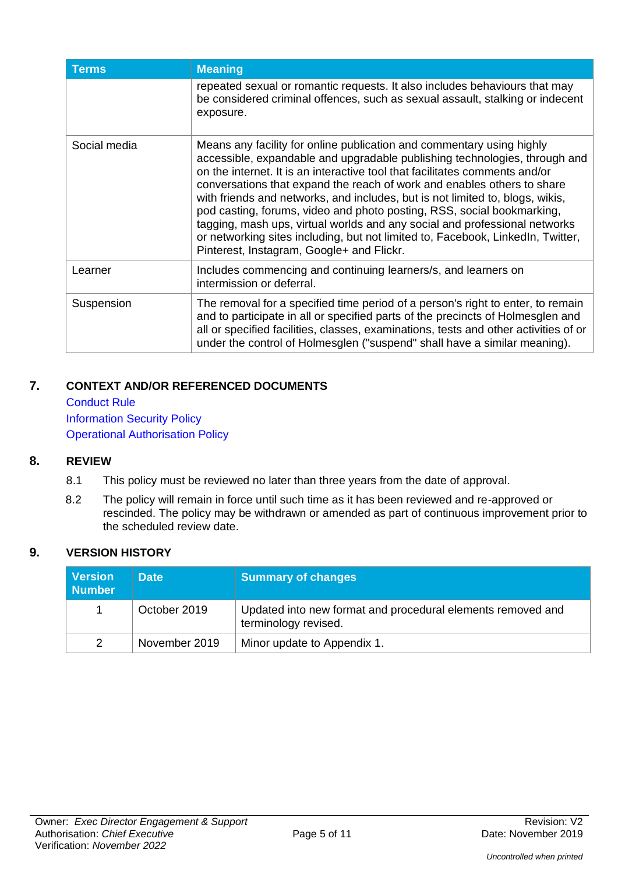| Terms        | <b>Meaning</b>                                                                                                                                                                                                                                                                                                                                                                                                                                                                                                                                                                                                                                                                         |
|--------------|----------------------------------------------------------------------------------------------------------------------------------------------------------------------------------------------------------------------------------------------------------------------------------------------------------------------------------------------------------------------------------------------------------------------------------------------------------------------------------------------------------------------------------------------------------------------------------------------------------------------------------------------------------------------------------------|
|              | repeated sexual or romantic requests. It also includes behaviours that may<br>be considered criminal offences, such as sexual assault, stalking or indecent<br>exposure.                                                                                                                                                                                                                                                                                                                                                                                                                                                                                                               |
| Social media | Means any facility for online publication and commentary using highly<br>accessible, expandable and upgradable publishing technologies, through and<br>on the internet. It is an interactive tool that facilitates comments and/or<br>conversations that expand the reach of work and enables others to share<br>with friends and networks, and includes, but is not limited to, blogs, wikis,<br>pod casting, forums, video and photo posting, RSS, social bookmarking,<br>tagging, mash ups, virtual worlds and any social and professional networks<br>or networking sites including, but not limited to, Facebook, LinkedIn, Twitter,<br>Pinterest, Instagram, Google+ and Flickr. |
| Learner      | Includes commencing and continuing learners/s, and learners on<br>intermission or deferral.                                                                                                                                                                                                                                                                                                                                                                                                                                                                                                                                                                                            |
| Suspension   | The removal for a specified time period of a person's right to enter, to remain<br>and to participate in all or specified parts of the precincts of Holmesglen and<br>all or specified facilities, classes, examinations, tests and other activities of or<br>under the control of Holmesglen ("suspend" shall have a similar meaning).                                                                                                                                                                                                                                                                                                                                                |

## **7. CONTEXT AND/OR REFERENCED DOCUMENTS**

Conduct Rule Information Security Policy Operational Authorisation Policy

## **8. REVIEW**

- 8.1 This policy must be reviewed no later than three years from the date of approval.
- 8.2 The policy will remain in force until such time as it has been reviewed and re-approved or rescinded. The policy may be withdrawn or amended as part of continuous improvement prior to the scheduled review date.

#### **9. VERSION HISTORY**

| <b>Version</b><br><b>Number</b> | <b>Date</b>   | <b>Summary of changes</b>                                                           |
|---------------------------------|---------------|-------------------------------------------------------------------------------------|
|                                 | October 2019  | Updated into new format and procedural elements removed and<br>terminology revised. |
| 2                               | November 2019 | Minor update to Appendix 1.                                                         |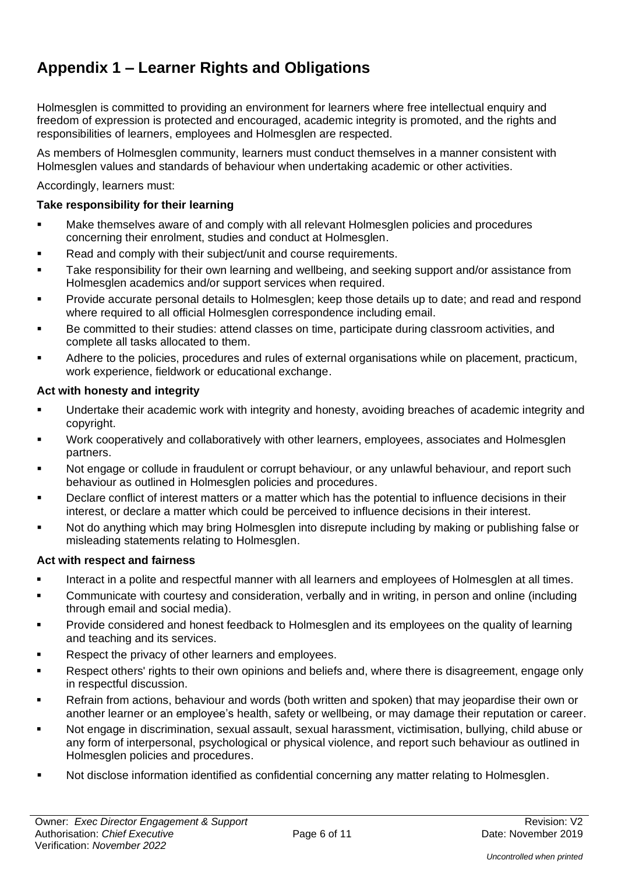# **Appendix 1 – Learner Rights and Obligations**

Holmesglen is committed to providing an environment for learners where free intellectual enquiry and freedom of expression is protected and encouraged, academic integrity is promoted, and the rights and responsibilities of learners, employees and Holmesglen are respected.

As members of Holmesglen community, learners must conduct themselves in a manner consistent with Holmesglen values and standards of behaviour when undertaking academic or other activities.

Accordingly, learners must:

## **Take responsibility for their learning**

- Make themselves aware of and comply with all relevant Holmesglen policies and procedures concerning their enrolment, studies and conduct at Holmesglen.
- Read and comply with their subject/unit and course requirements.
- Take responsibility for their own learning and wellbeing, and seeking support and/or assistance from Holmesglen academics and/or support services when required.
- Provide accurate personal details to Holmesglen; keep those details up to date; and read and respond where required to all official Holmesglen correspondence including email.
- Be committed to their studies: attend classes on time, participate during classroom activities, and complete all tasks allocated to them.
- Adhere to the policies, procedures and rules of external organisations while on placement, practicum, work experience, fieldwork or educational exchange.

#### **Act with honesty and integrity**

- Undertake their academic work with integrity and honesty, avoiding breaches of academic integrity and copyright.
- Work cooperatively and collaboratively with other learners, employees, associates and Holmesglen partners.
- Not engage or collude in fraudulent or corrupt behaviour, or any unlawful behaviour, and report such behaviour as outlined in Holmesglen policies and procedures.
- Declare conflict of interest matters or a matter which has the potential to influence decisions in their interest, or declare a matter which could be perceived to influence decisions in their interest.
- Not do anything which may bring Holmesglen into disrepute including by making or publishing false or misleading statements relating to Holmesglen.

#### **Act with respect and fairness**

- Interact in a polite and respectful manner with all learners and employees of Holmesglen at all times.
- Communicate with courtesy and consideration, verbally and in writing, in person and online (including through email and social media).
- Provide considered and honest feedback to Holmesglen and its employees on the quality of learning and teaching and its services.
- Respect the privacy of other learners and employees.
- Respect others' rights to their own opinions and beliefs and, where there is disagreement, engage only in respectful discussion.
- Refrain from actions, behaviour and words (both written and spoken) that may jeopardise their own or another learner or an employee's health, safety or wellbeing, or may damage their reputation or career.
- Not engage in discrimination, sexual assault, sexual harassment, victimisation, bullying, child abuse or any form of interpersonal, psychological or physical violence, and report such behaviour as outlined in Holmesglen policies and procedures.
- Not disclose information identified as confidential concerning any matter relating to Holmesglen.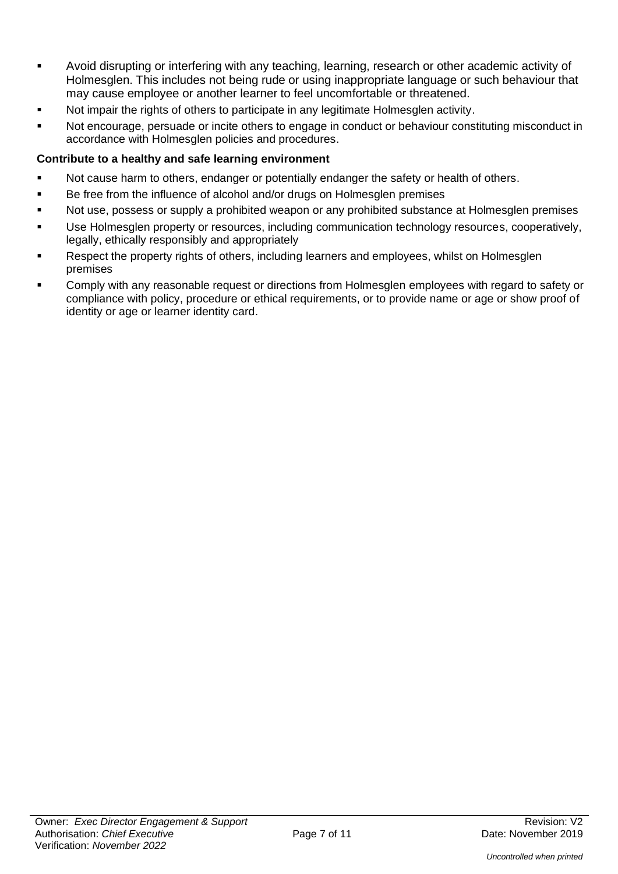- Avoid disrupting or interfering with any teaching, learning, research or other academic activity of Holmesglen. This includes not being rude or using inappropriate language or such behaviour that may cause employee or another learner to feel uncomfortable or threatened.
- Not impair the rights of others to participate in any legitimate Holmesglen activity.
- Not encourage, persuade or incite others to engage in conduct or behaviour constituting misconduct in accordance with Holmesglen policies and procedures.

## **Contribute to a healthy and safe learning environment**

- Not cause harm to others, endanger or potentially endanger the safety or health of others.
- Be free from the influence of alcohol and/or drugs on Holmesglen premises
- Not use, possess or supply a prohibited weapon or any prohibited substance at Holmesglen premises
- Use Holmesglen property or resources, including communication technology resources, cooperatively, legally, ethically responsibly and appropriately
- Respect the property rights of others, including learners and employees, whilst on Holmesglen premises
- Comply with any reasonable request or directions from Holmesglen employees with regard to safety or compliance with policy, procedure or ethical requirements, or to provide name or age or show proof of identity or age or learner identity card.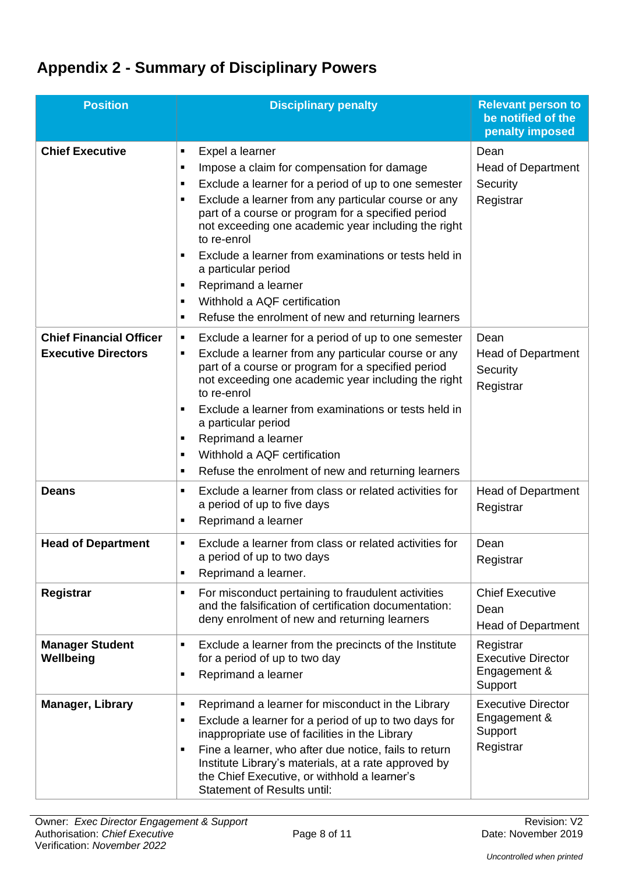# **Appendix 2 - Summary of Disciplinary Powers**

| <b>Position</b>                                              | <b>Disciplinary penalty</b>                                                                                                                                                                                                                                                                                                                                                                                                                                                                                                                     | <b>Relevant person to</b><br>be notified of the<br>penalty imposed |
|--------------------------------------------------------------|-------------------------------------------------------------------------------------------------------------------------------------------------------------------------------------------------------------------------------------------------------------------------------------------------------------------------------------------------------------------------------------------------------------------------------------------------------------------------------------------------------------------------------------------------|--------------------------------------------------------------------|
| <b>Chief Executive</b>                                       | Expel a learner<br>п<br>Impose a claim for compensation for damage<br>п<br>Exclude a learner for a period of up to one semester<br>$\blacksquare$<br>Exclude a learner from any particular course or any<br>part of a course or program for a specified period<br>not exceeding one academic year including the right<br>to re-enrol<br>Exclude a learner from examinations or tests held in<br>a particular period<br>Reprimand a learner<br>٠<br>Withhold a AQF certification<br>٠<br>Refuse the enrolment of new and returning learners<br>٠ | Dean<br><b>Head of Department</b><br>Security<br>Registrar         |
| <b>Chief Financial Officer</b><br><b>Executive Directors</b> | Exclude a learner for a period of up to one semester<br>٠<br>Exclude a learner from any particular course or any<br>٠<br>part of a course or program for a specified period<br>not exceeding one academic year including the right<br>to re-enrol<br>Exclude a learner from examinations or tests held in<br>٠<br>a particular period<br>Reprimand a learner<br>٠<br>Withhold a AQF certification<br>٠<br>Refuse the enrolment of new and returning learners<br>٠                                                                               | Dean<br><b>Head of Department</b><br>Security<br>Registrar         |
| <b>Deans</b>                                                 | Exclude a learner from class or related activities for<br>٠<br>a period of up to five days<br>Reprimand a learner<br>٠                                                                                                                                                                                                                                                                                                                                                                                                                          | <b>Head of Department</b><br>Registrar                             |
| <b>Head of Department</b>                                    | Exclude a learner from class or related activities for<br>٠<br>a period of up to two days<br>Reprimand a learner.                                                                                                                                                                                                                                                                                                                                                                                                                               | Dean<br>Registrar                                                  |
| Registrar                                                    | For misconduct pertaining to fraudulent activities<br>٠<br>and the falsification of certification documentation:<br>deny enrolment of new and returning learners                                                                                                                                                                                                                                                                                                                                                                                | <b>Chief Executive</b><br>Dean<br><b>Head of Department</b>        |
| <b>Manager Student</b><br>Wellbeing                          | Exclude a learner from the precincts of the Institute<br>٠<br>for a period of up to two day<br>Reprimand a learner<br>$\blacksquare$                                                                                                                                                                                                                                                                                                                                                                                                            | Registrar<br><b>Executive Director</b><br>Engagement &<br>Support  |
| <b>Manager, Library</b>                                      | Reprimand a learner for misconduct in the Library<br>$\blacksquare$<br>Exclude a learner for a period of up to two days for<br>٠<br>inappropriate use of facilities in the Library<br>Fine a learner, who after due notice, fails to return<br>$\blacksquare$<br>Institute Library's materials, at a rate approved by<br>the Chief Executive, or withhold a learner's<br><b>Statement of Results until:</b>                                                                                                                                     | <b>Executive Director</b><br>Engagement &<br>Support<br>Registrar  |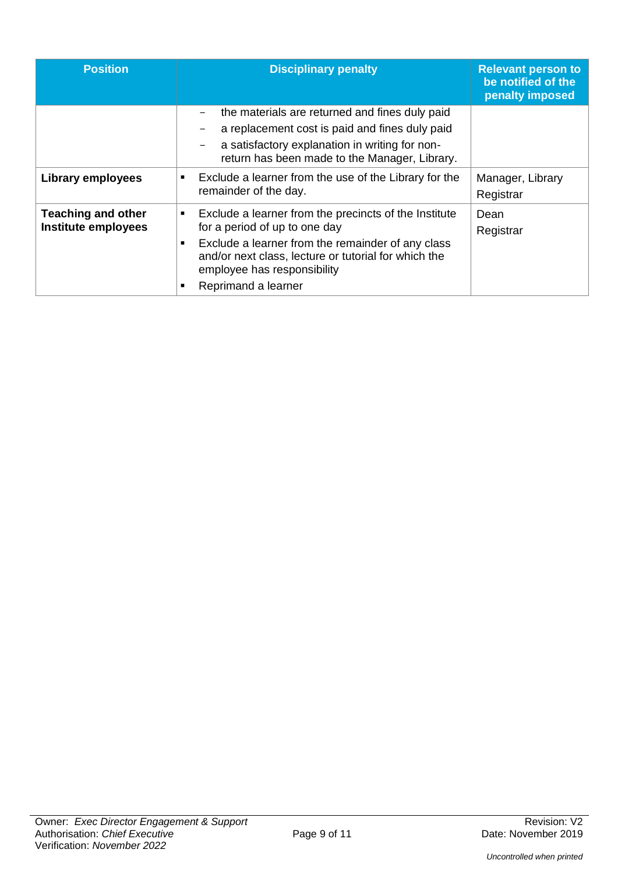| <b>Position</b>                                  | <b>Disciplinary penalty</b>                                                                                                                                                                                                                                                                   | <b>Relevant person to</b><br>be notified of the<br>penalty imposed |
|--------------------------------------------------|-----------------------------------------------------------------------------------------------------------------------------------------------------------------------------------------------------------------------------------------------------------------------------------------------|--------------------------------------------------------------------|
|                                                  | the materials are returned and fines duly paid<br>a replacement cost is paid and fines duly paid<br>a satisfactory explanation in writing for non-<br>return has been made to the Manager, Library.                                                                                           |                                                                    |
| Library employees                                | Exclude a learner from the use of the Library for the<br>$\blacksquare$<br>remainder of the day.                                                                                                                                                                                              | Manager, Library<br>Registrar                                      |
| <b>Teaching and other</b><br>Institute employees | Exclude a learner from the precincts of the Institute<br>$\blacksquare$<br>for a period of up to one day<br>Exclude a learner from the remainder of any class<br>$\blacksquare$<br>and/or next class, lecture or tutorial for which the<br>employee has responsibility<br>Reprimand a learner | Dean<br>Registrar                                                  |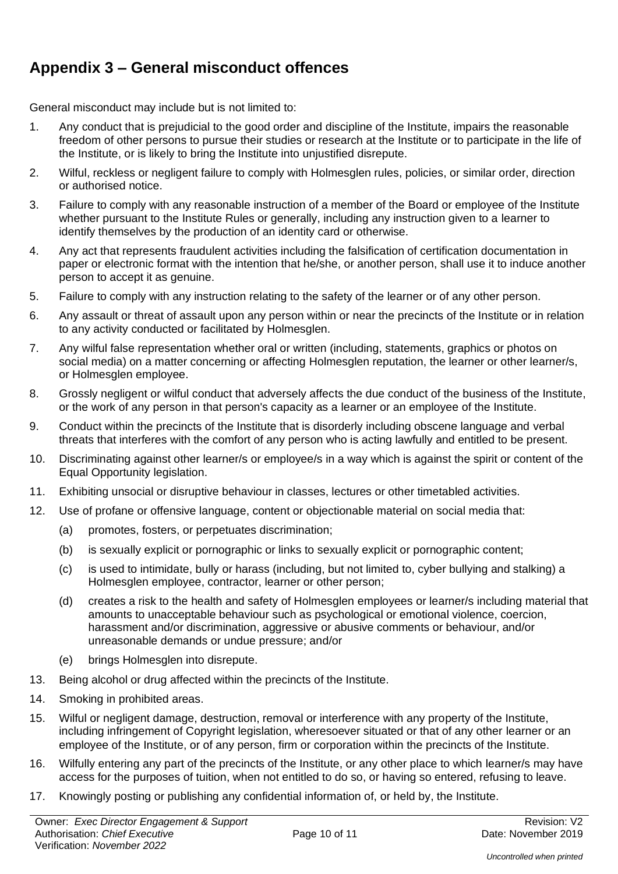## **Appendix 3 – General misconduct offences**

General misconduct may include but is not limited to:

- 1. Any conduct that is prejudicial to the good order and discipline of the Institute, impairs the reasonable freedom of other persons to pursue their studies or research at the Institute or to participate in the life of the Institute, or is likely to bring the Institute into unjustified disrepute.
- 2. Wilful, reckless or negligent failure to comply with Holmesglen rules, policies, or similar order, direction or authorised notice.
- 3. Failure to comply with any reasonable instruction of a member of the Board or employee of the Institute whether pursuant to the Institute Rules or generally, including any instruction given to a learner to identify themselves by the production of an identity card or otherwise.
- 4. Any act that represents fraudulent activities including the falsification of certification documentation in paper or electronic format with the intention that he/she, or another person, shall use it to induce another person to accept it as genuine.
- 5. Failure to comply with any instruction relating to the safety of the learner or of any other person.
- 6. Any assault or threat of assault upon any person within or near the precincts of the Institute or in relation to any activity conducted or facilitated by Holmesglen.
- 7. Any wilful false representation whether oral or written (including, statements, graphics or photos on social media) on a matter concerning or affecting Holmesglen reputation, the learner or other learner/s, or Holmesglen employee.
- 8. Grossly negligent or wilful conduct that adversely affects the due conduct of the business of the Institute, or the work of any person in that person's capacity as a learner or an employee of the Institute.
- 9. Conduct within the precincts of the Institute that is disorderly including obscene language and verbal threats that interferes with the comfort of any person who is acting lawfully and entitled to be present.
- 10. Discriminating against other learner/s or employee/s in a way which is against the spirit or content of the Equal Opportunity legislation.
- 11. Exhibiting unsocial or disruptive behaviour in classes, lectures or other timetabled activities.
- 12. Use of profane or offensive language, content or objectionable material on social media that:
	- (a) promotes, fosters, or perpetuates discrimination;
	- (b) is sexually explicit or pornographic or links to sexually explicit or pornographic content;
	- (c) is used to intimidate, bully or harass (including, but not limited to, cyber bullying and stalking) a Holmesglen employee, contractor, learner or other person;
	- (d) creates a risk to the health and safety of Holmesglen employees or learner/s including material that amounts to unacceptable behaviour such as psychological or emotional violence, coercion, harassment and/or discrimination, aggressive or abusive comments or behaviour, and/or unreasonable demands or undue pressure; and/or
	- (e) brings Holmesglen into disrepute.
- 13. Being alcohol or drug affected within the precincts of the Institute.
- 14. Smoking in prohibited areas.
- 15. Wilful or negligent damage, destruction, removal or interference with any property of the Institute, including infringement of Copyright legislation, wheresoever situated or that of any other learner or an employee of the Institute, or of any person, firm or corporation within the precincts of the Institute.
- 16. Wilfully entering any part of the precincts of the Institute, or any other place to which learner/s may have access for the purposes of tuition, when not entitled to do so, or having so entered, refusing to leave.
- 17. Knowingly posting or publishing any confidential information of, or held by, the Institute.